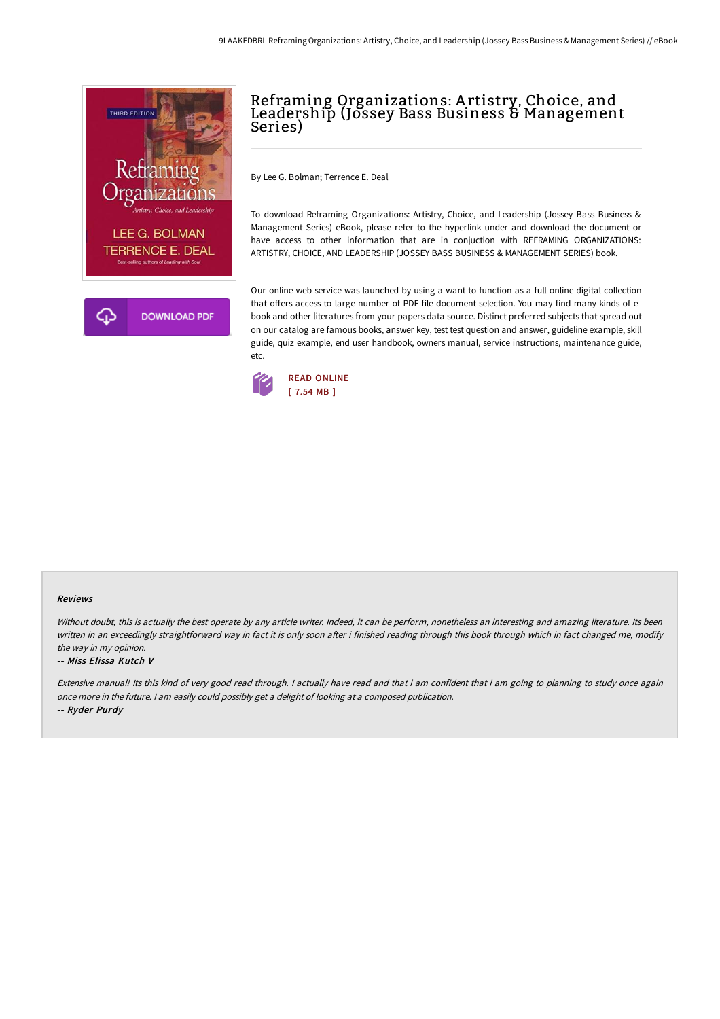

# Reframing Organizations: A rtistry, Choice, and Leadership (Jossey Bass Business & Management Series)

By Lee G. Bolman; Terrence E. Deal

To download Reframing Organizations: Artistry, Choice, and Leadership (Jossey Bass Business & Management Series) eBook, please refer to the hyperlink under and download the document or have access to other information that are in conjuction with REFRAMING ORGANIZATIONS: ARTISTRY, CHOICE, AND LEADERSHIP (JOSSEY BASS BUSINESS & MANAGEMENT SERIES) book.

Our online web service was launched by using a want to function as a full online digital collection that offers access to large number of PDF file document selection. You may find many kinds of ebook and other literatures from your papers data source. Distinct preferred subjects that spread out on our catalog are famous books, answer key, test test question and answer, guideline example, skill guide, quiz example, end user handbook, owners manual, service instructions, maintenance guide, etc.



#### Reviews

Without doubt, this is actually the best operate by any article writer. Indeed, it can be perform, nonetheless an interesting and amazing literature. Its been written in an exceedingly straightforward way in fact it is only soon after i finished reading through this book through which in fact changed me, modify the way in my opinion.

#### -- Miss Elissa Kutch V

Extensive manual! Its this kind of very good read through. I actually have read and that i am confident that i am going to planning to study once again once more in the future. <sup>I</sup> am easily could possibly get <sup>a</sup> delight of looking at <sup>a</sup> composed publication. -- Ryder Purdy